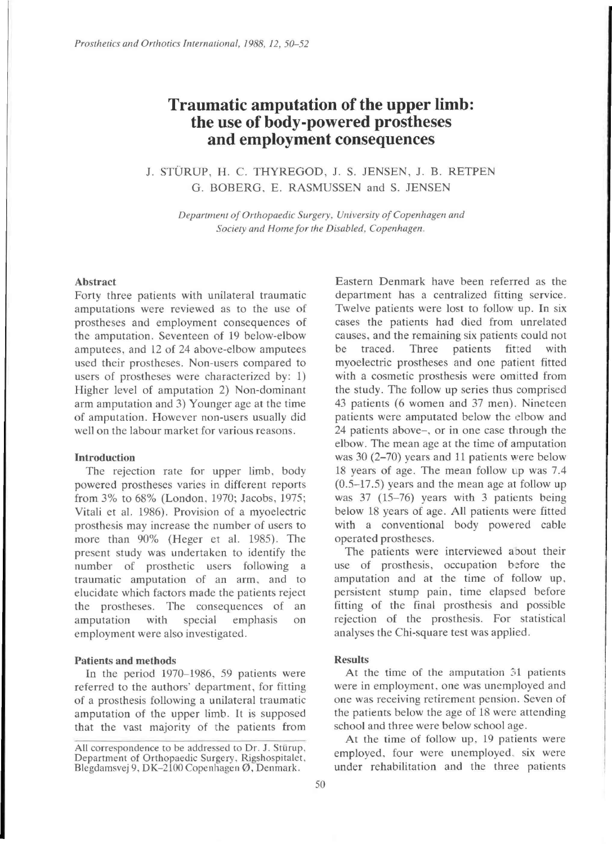# **Traumatic amputation of the upper limb: the use of body-powered prostheses and employment consequences**

# J. STÜRUP, H. C. THYREGOD, J. S. JENSEN, J. B. RETPEN G. BOBERG , E. RASMUSSEN and S. JENSEN

*Department of Orthopaedic Surgery, University of Copenhagen and Society and Home for the Disabled, Copenhagen.* 

#### Abstract

Forty three patients with unilateral traumatic amputations were reviewed as to the use of prostheses and employment consequences of the amputation. Seventeen of 19 below-elbow amputees, and 12 of 24 above-elbow amputees used their prostheses. Non-users compared to users of prostheses were characterized by: 1) Higher level of amputation 2) Non-dominant arm amputation and 3) Younger age at the time of amputation. However non-users usually did well on the labour market for various reasons.

#### **Introduction**

The rejection rate for upper limb, body powered prostheses varies in different reports from 3% to 68% (London, 1970; Jacobs, 1975; Vitali et al. 1986). Provision of a myoelectric prosthesis may increase the number of users to more than 90% (Heger et al. 1985). The present study was undertaken to identify the number of prosthetic users following a traumatic amputation of an arm, and to elucidate which factors made the patients reject the prostheses. The consequences of an amputation with special emphasis on employment were also investigated.

# **Patients and methods**

In the period 1970-1986, 59 patients were referred to the authors' department, for fitting of a prosthesis following a unilateral traumatic amputation of the upper limb. It is supposed that the vast majority of the patients from

Eastern Denmark have been referred as the department has a centralized fitting service. Twelve patients were lost to follow up. In six cases the patients had died from unrelated causes, and the remaining six patients could not be traced. Three patients fitted with myoelectric prostheses and one patient fitted with a cosmetic prosthesis were omitted from the study. The follow up series thus comprised 43 patients (6 women and 37 men). Nineteen patients were amputated below the elbow and 24 patients above-, or in one case through the elbow. The mean age at the time of amputation was 30 (2-70) years and 11 patients were below 18 years of age. The mean follow up was 7.4 (0.5-17.5) years and the mean age at follow up was 37 (15-76) years with 3 patients being below 18 years of age. All patients were fitted with a conventional body powered cable operated prostheses.

The patients were interviewed about their use of prosthesis, occupation before the amputation and at the time of follow up, persistent stump pain, time elapsed before fitting of the final prosthesis and possible rejection of the prosthesis. For statistical analyses the Chi-square test was applied.

### Results

At the time of the amputation 31 patients were in employment, one was unemployed and one was receiving retirement pension. Seven of the patients below the age of 18 were attending school and three were below school age.

At the time of follow up, 19 patients were employed, four were unemployed, six were under rehabilitation and the three patients

All correspondence to be addressed to Dr. J. Stürup, Department of Orthopaedic Surgery, Rigshospitalet, Blegdamsvej 9, DK-2100 Copenhagen Ø, Denmark.